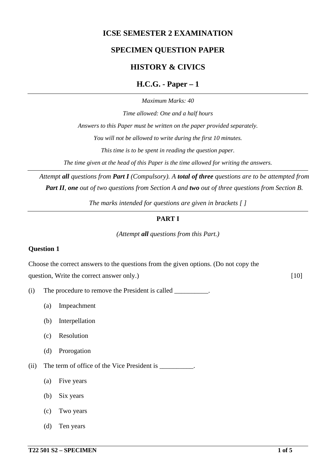# **ICSE SEMESTER 2 EXAMINATION**

# **SPECIMEN QUESTION PAPER**

# **HISTORY & CIVICS**

**H.C.G. - Paper – 1**

*Maximum Marks: 40*

*Time allowed: One and a half hours*

*Answers to this Paper must be written on the paper provided separately.*

*You will not be allowed to write during the first 10 minutes.*

*This time is to be spent in reading the question paper.*

*The time given at the head of this Paper is the time allowed for writing the answers.*

*Attempt all questions from Part I (Compulsory). A total of three questions are to be attempted from Part II, one out of two questions from Section A and two out of three questions from Section B.*

*The marks intended for questions are given in brackets [ ]*

# **PART I**

*(Attempt all questions from this Part.)*

#### **Question 1**

Choose the correct answers to the questions from the given options. (Do not copy the question, Write the correct answer only.) [10]

- (i) The procedure to remove the President is called \_\_\_\_\_\_\_\_\_\_.
	- (a) Impeachment
	- (b) Interpellation
	- (c) Resolution
	- (d) Prorogation
- (ii) The term of office of the Vice President is \_\_\_\_\_\_\_\_\_\_.
	- (a) Five years
	- (b) Six years
	- (c) Two years
	- (d) Ten years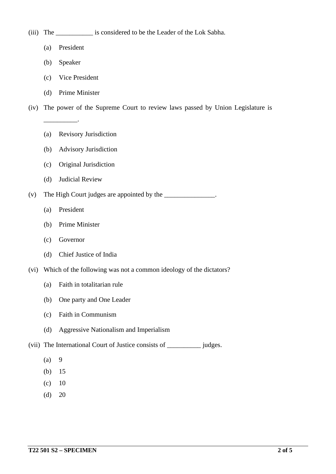- (a) President
- (b) Speaker

\_\_\_\_\_\_\_\_\_\_.

- (c) Vice President
- (d) Prime Minister
- (iv) The power of the Supreme Court to review laws passed by Union Legislature is
	- (a) Revisory Jurisdiction
	- (b) Advisory Jurisdiction
	- (c) Original Jurisdiction
	- (d) Judicial Review
- (v) The High Court judges are appointed by the \_\_\_\_\_\_\_\_\_\_\_\_\_\_\_\_.
	- (a) President
	- (b) Prime Minister
	- (c) Governor
	- (d) Chief Justice of India
- (vi) Which of the following was not a common ideology of the dictators?
	- (a) Faith in totalitarian rule
	- (b) One party and One Leader
	- (c) Faith in Communism
	- (d) Aggressive Nationalism and Imperialism

(vii) The International Court of Justice consists of \_\_\_\_\_\_\_\_\_\_ judges.

- $(a) 9$
- (b) 15
- $(c)$  10
- $(d)$  20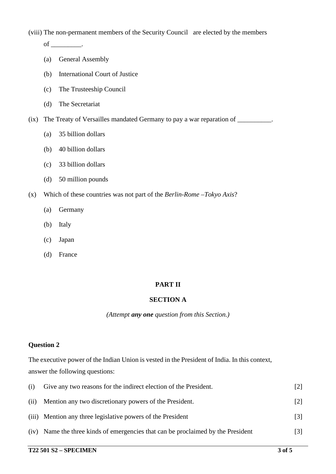(viii) The non-permanent members of the Security Council are elected by the members

 $of$  \_\_\_\_\_\_\_\_\_\_.

- (a) General Assembly
- (b) International Court of Justice
- (c) The Trusteeship Council
- (d) The Secretariat
- (ix) The Treaty of Versailles mandated Germany to pay a war reparation of \_\_\_\_\_\_\_\_\_\_.
	- (a) 35 billion dollars
	- (b) 40 billion dollars
	- (c) 33 billion dollars
	- (d) 50 million pounds
- (x) Which of these countries was not part of the *Berlin-Rome –Tokyo Axis*?
	- (a) Germany
	- (b) Italy
	- (c) Japan
	- (d) France

#### **PART II**

## **SECTION A**

*(Attempt any one question from this Section.)*

#### **Question 2**

The executive power of the Indian Union is vested in the President of India. In this context, answer the following questions:

| (i)  | Give any two reasons for the indirect election of the President.            | [2]               |
|------|-----------------------------------------------------------------------------|-------------------|
| (ii) | Mention any two discretionary powers of the President.                      | $\lceil 2 \rceil$ |
|      | (iii) Mention any three legislative powers of the President                 | $\lceil 3 \rceil$ |
| (iv) | Name the three kinds of emergencies that can be proclaimed by the President | [3]               |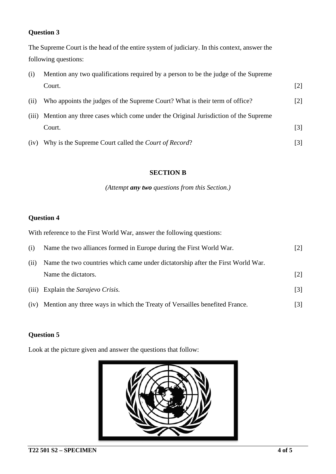## **Question 3**

The Supreme Court is the head of the entire system of judiciary. In this context, answer the following questions:

| (i)   | Mention any two qualifications required by a person to be the judge of the Supreme |                   |
|-------|------------------------------------------------------------------------------------|-------------------|
|       | Court.                                                                             | $\lceil 2 \rceil$ |
| (ii)  | Who appoints the judges of the Supreme Court? What is their term of office?        | $[2]$             |
| (iii) | Mention any three cases which come under the Original Jurisdiction of the Supreme  |                   |
|       | Court.                                                                             | [3]               |
| (iv)  | Why is the Supreme Court called the Court of Record?                               | [3]               |

#### **SECTION B**

*(Attempt any two questions from this Section.)*

## **Question 4**

With reference to the First World War, answer the following questions:

| (i)   | Name the two alliances formed in Europe during the First World War.             | $\lceil 2 \rceil$ |
|-------|---------------------------------------------------------------------------------|-------------------|
| (ii)  | Name the two countries which came under dictatorship after the First World War. |                   |
|       | Name the dictators.                                                             | $\lceil 2 \rceil$ |
| (iii) | Explain the Sarajevo Crisis.                                                    | $\lceil 3 \rceil$ |
| (iv)  | Mention any three ways in which the Treaty of Versailles benefited France.      | [3]               |

# **Question 5**

Look at the picture given and answer the questions that follow: